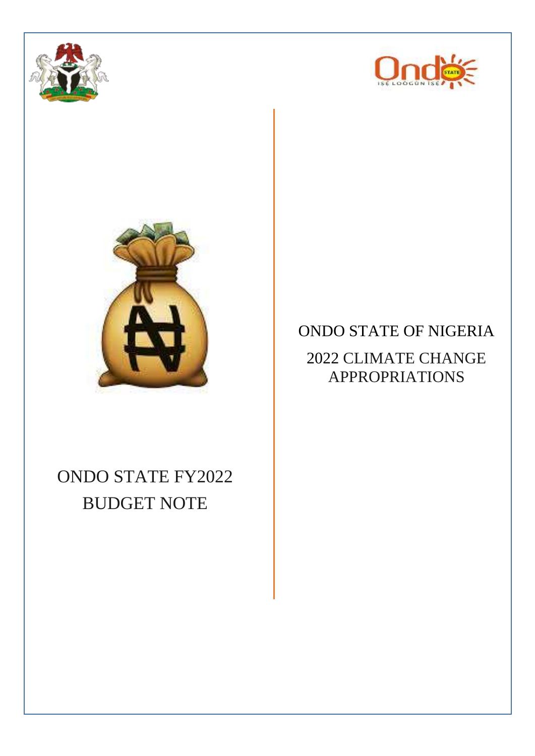





## ONDO STATE OF NIGERIA

2022 CLIMATE CHANGE APPROPRIATIONS

## ONDO STATE FY2022 BUDGET NOTE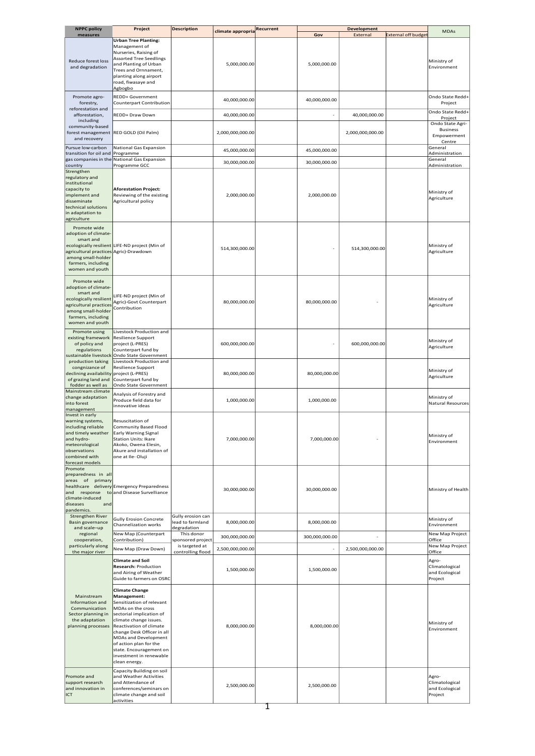| <b>NPPC policy</b><br>measures                                                                                                                                       | Project                                                                                                                                                                                                                                                                                                                               | <b>Description</b>                                   | climate appropria | Recurrent | Gov            | <b>Development</b><br>External | <b>External off budget</b> | <b>MDAs</b>                                                  |
|----------------------------------------------------------------------------------------------------------------------------------------------------------------------|---------------------------------------------------------------------------------------------------------------------------------------------------------------------------------------------------------------------------------------------------------------------------------------------------------------------------------------|------------------------------------------------------|-------------------|-----------|----------------|--------------------------------|----------------------------|--------------------------------------------------------------|
| Reduce forest loss<br>and degradation                                                                                                                                | <b>Urban Tree Planting:</b><br>Management of<br>Nurseries, Raising of<br>Assorted Tree Seedlings<br>and Planting of Urban<br>Trees and Ornnament,<br>planting along airport<br>road, fiwasaye and<br>Agbogbo                                                                                                                          |                                                      | 5,000,000.00      |           | 5,000,000.00   |                                |                            | Ministry of<br>Environment                                   |
| Promote agro-<br>forestry,                                                                                                                                           | REDD+ Government<br>Counterpart Contribution                                                                                                                                                                                                                                                                                          |                                                      | 40,000,000.00     |           | 40,000,000.00  |                                |                            | Ondo State Redd+<br>Project                                  |
| reforestation and<br>afforestation,                                                                                                                                  | REDD+ Draw Down                                                                                                                                                                                                                                                                                                                       |                                                      | 40,000,000.00     |           |                | 40,000,000.00                  |                            | Ondo State Redd+<br>Project                                  |
| including<br>community-based<br>and recovery                                                                                                                         | forest management RED GOLD (Oil Palm)                                                                                                                                                                                                                                                                                                 |                                                      | 2,000,000,000.00  |           |                | 2,000,000,000.00               |                            | Ondo State Agri-<br><b>Business</b><br>Empowerment<br>Centre |
| Pursue low-carbon                                                                                                                                                    | National Gas Expansion                                                                                                                                                                                                                                                                                                                |                                                      | 45,000,000.00     |           | 45,000,000.00  |                                |                            | General<br>Administration                                    |
| transition for oil and<br>gas companies in the                                                                                                                       | Programme<br>National Gas Expansion                                                                                                                                                                                                                                                                                                   |                                                      | 30,000,000.00     |           | 30,000,000.00  |                                |                            | General                                                      |
| country<br>Strengthen<br>regulatory and<br>institutional<br>capacity to<br>implement and<br>disseminate<br>technical solutions<br>in adaptation to<br>agriculture    | Programme GCC<br><b>Aforestation Project:</b><br>Reviewing of the existing<br>Agricultural policy                                                                                                                                                                                                                                     |                                                      | 2,000,000.00      |           | 2,000,000.00   |                                |                            | Administration<br>Ministry of<br>Agriculture                 |
| Promote wide<br>adoption of climate-<br>smart and<br>agricultural practices<br>among small-holder<br>farmers, including<br>women and youth                           | ecologically resilient LIFE-ND project (Min of<br>Agric)-Drawdown                                                                                                                                                                                                                                                                     |                                                      | 514,300,000.00    |           |                | 514,300,000.00                 |                            | Ministry of<br>Agriculture                                   |
| Promote wide<br>adoption of climate-<br>smart and<br>ecologically resilient<br>agricultural practice:<br>among small-holder<br>farmers, including<br>women and youth | LIFE-ND project (Min of<br>Agric)-Govt Counterpart<br>Contribution                                                                                                                                                                                                                                                                    |                                                      | 80,000,000.00     |           | 80,000,000.00  |                                |                            | Ministry of<br>Agriculture                                   |
| Promote using<br>existing framework<br>of policy and<br>regulations                                                                                                  | Livestock Production and<br><b>Resilience Support</b><br>project (L-PRES)<br>Counterpart fund by<br>sustainable livestock Ondo State Government                                                                                                                                                                                       |                                                      | 600,000,000.00    |           |                | 600,000,000.00                 |                            | Ministry of<br>Agriculture                                   |
| production taking<br>congnizance of<br>declining availability project (L-PRES)<br>of grazing land and<br>fodder as well as                                           | Livestock Production and<br><b>Resilience Support</b><br>Counterpart fund by<br>Ondo State Government                                                                                                                                                                                                                                 |                                                      | 80,000,000.00     |           | 80,000,000.00  |                                |                            | Ministry of<br>Agriculture                                   |
| Mainstream climate<br>change adaptation<br>into forest<br>management                                                                                                 | Analysis of Forestry and<br>Produce field data for<br>innovative ideas                                                                                                                                                                                                                                                                |                                                      | 1,000,000.00      |           | 1,000,000.00   |                                |                            | Ministry of<br><b>Natural Resources</b>                      |
| Invest in early<br>warning systems,<br>including reliable<br>and timely weather<br>and hydro-<br>meteorological<br>observations<br>combined with<br>forecast models  | Resuscitation of<br>Community Based Flood<br><b>Early Warning Signal</b><br><b>Station Units: Ikare</b><br>Akoko, Owena Elesin,<br>Akure and installation of<br>one at Ile-Oluji                                                                                                                                                      |                                                      | 7,000,000.00      |           | 7,000,000.00   |                                |                            | Ministry of<br>Environment                                   |
| Promote<br>preparedness in all<br>areas of primary<br>and<br>response<br>climate-induced<br>diseases<br>and<br>pandemics.                                            | healthcare delivery Emergency Preparedness<br>to and Disease Survelliance                                                                                                                                                                                                                                                             |                                                      | 30,000,000.00     |           | 30,000,000.00  |                                |                            | Ministry of Health                                           |
| Strengthen River<br>Basin governance<br>and scale-up                                                                                                                 | <b>Gully Erosion Concrete</b><br>Channelization works                                                                                                                                                                                                                                                                                 | Gully erosion can<br>lead to farmland<br>degradation | 8,000,000.00      |           | 8,000,000.00   |                                |                            | Ministry of<br>Environment                                   |
| regional<br>cooperation,                                                                                                                                             | New Map (Counterpart<br>Contribution)                                                                                                                                                                                                                                                                                                 | This donor<br>sponsored project                      | 300,000,000.00    |           | 300,000,000.00 | $\sim$                         |                            | New Map Project<br>Office                                    |
| particularly along<br>the major river                                                                                                                                | New Map (Draw Down)                                                                                                                                                                                                                                                                                                                   | is targeted at<br>controlling flood                  | 2,500,000,000.00  |           |                | 2,500,000,000.00               |                            | New Map Project<br>Office                                    |
|                                                                                                                                                                      | <b>Climate and Soil</b><br>Research: Production<br>and Airing of Weather<br>Guide to farmers on OSRC                                                                                                                                                                                                                                  |                                                      | 1,500,000.00      |           | 1,500,000.00   |                                |                            | Agro-<br>Climatological<br>and Ecological<br>Project         |
| Mainstream<br>Information and<br>Communication<br>Sector planning in<br>the adaptation<br>planning processes                                                         | <b>Climate Change</b><br>Management:<br>Sensitization of relevant<br>MDAs on the cross<br>sectorial implication of<br>climate change issues.<br>Reactivation of climate<br>change Desk Officer in all<br><b>MDAs and Development</b><br>of action plan for the<br>state. Encouragement on<br>investment in renewable<br>clean energy. |                                                      | 8,000,000.00      |           | 8,000,000.00   |                                |                            | Ministry of<br>Environment                                   |
| Promote and<br>support research<br>and innovation in<br>ICT                                                                                                          | Capacity Building on soil<br>and Weather Activities<br>and Attendance of<br>conferences/seminars on<br>climate change and soil<br>activities                                                                                                                                                                                          |                                                      | 2,500,000.00      | 1         | 2,500,000.00   |                                |                            | Agro-<br>Climatological<br>and Ecological<br>Project         |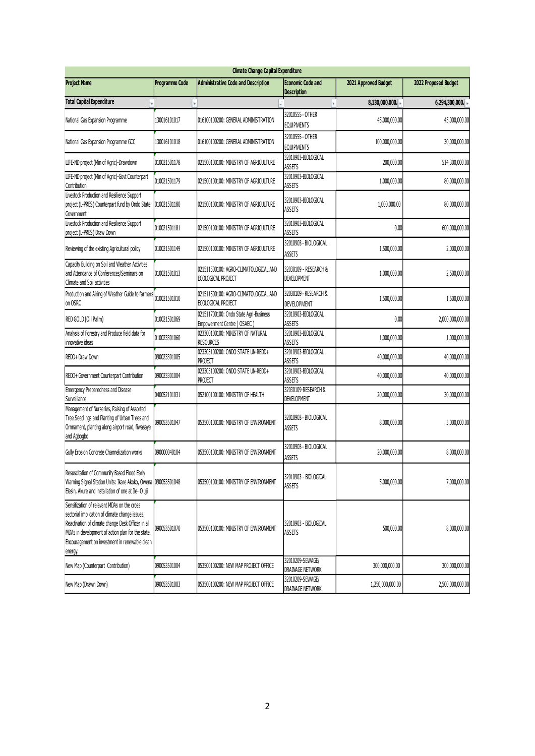| <b>Climate Change Capital Expenditure</b>                                                                                                                                                                                                                              |                       |                                                                      |                                                |                      |                      |  |  |  |  |  |
|------------------------------------------------------------------------------------------------------------------------------------------------------------------------------------------------------------------------------------------------------------------------|-----------------------|----------------------------------------------------------------------|------------------------------------------------|----------------------|----------------------|--|--|--|--|--|
| <b>Project Name</b>                                                                                                                                                                                                                                                    | <b>Programme Code</b> | <b>Administrative Code and Description</b>                           | <b>Economic Code and</b><br><b>Description</b> | 2021 Approved Budget | 2022 Proposed Budget |  |  |  |  |  |
| <b>Total Capital Expenditure</b>                                                                                                                                                                                                                                       |                       |                                                                      |                                                | 8,130,000,000.       | 6,294,300,000.       |  |  |  |  |  |
| National Gas Expansion Programme                                                                                                                                                                                                                                       | 130016101017          | 016100100200: GENERAL ADMINISTRATION                                 | 32010555 - OTHER<br><b>EQUIPMENTS</b>          | 45,000,000.00        | 45,000,000.00        |  |  |  |  |  |
| National Gas Expansion Programme GCC                                                                                                                                                                                                                                   | 130016101018          | 016100100200: GENERAL ADMINISTRATION                                 | 32010555 - OTHER<br><b>EQUIPMENTS</b>          | 100,000,000.00       | 30,000,000.00        |  |  |  |  |  |
| LIFE-ND project (Min of Agric)-Drawdown                                                                                                                                                                                                                                | 010021501178          | 021500100100: MINISTRY OF AGRICULTURE                                | 32010903-BIOLOGICAL<br><b>ASSETS</b>           | 200,000.00           | 514,300,000.00       |  |  |  |  |  |
| LIFE-ND project (Min of Agric)-Govt Counterpart<br>Contribution                                                                                                                                                                                                        | 010021501179          | 021500100100: MINISTRY OF AGRICULTURE                                | 32010903-BIOLOGICAL<br>ASSETS                  | 1,000,000.00         | 80,000,000.00        |  |  |  |  |  |
| Livestock Production and Resilience Support<br>project (L-PRES) Counterpart fund by Ondo State<br>Government                                                                                                                                                           | 010021501180          | 021500100100: MINISTRY OF AGRICULTURE                                | 32010903-BIOLOGICAL<br><b>ASSETS</b>           | 1,000,000.00         | 80,000,000.00        |  |  |  |  |  |
| Livestock Production and Resilience Support<br>project (L-PRES) Draw Down                                                                                                                                                                                              | 010021501181          | 021500100100: MINISTRY OF AGRICULTURE                                | 32010903-BIOLOGICAL<br><b>ASSETS</b>           | 0.00                 | 600,000,000.00       |  |  |  |  |  |
| Reviewing of the existing Agricultural policy                                                                                                                                                                                                                          | 010021501149          | 021500100100: MINISTRY OF AGRICULTURE                                | 32010903 - BIOLOGICAL<br><b>ASSETS</b>         | 1,500,000.00         | 2,000,000.00         |  |  |  |  |  |
| Capacity Building on Soil and Weather Activities<br>and Attendance of Conferences/Seminars on<br>Climate and Soil activities                                                                                                                                           | 010021501013          | 021511500100: AGRO-CLIMATOLOGICAL AND<br>ECOLOGICAL PROJECT          | 32030109 - RESEARCH &<br><b>DEVELOPMENT</b>    | 1,000,000.00         | 2,500,000.00         |  |  |  |  |  |
| Production and Airing of Weather Guide to farmers<br>on OSRC                                                                                                                                                                                                           | 010021501010          | 021511500100: AGRO-CLIMATOLOGICAL AND<br>ECOLOGICAL PROJECT          | 32030109 - RESEARCH &<br>DEVELOPMENT           | 1,500,000.00         | 1,500,000.00         |  |  |  |  |  |
| RED GOLD (Oil Palm)                                                                                                                                                                                                                                                    | 010021501069          | 021511700100: Ondo State Agri-Business<br>Empowerment Centre (OSAEC) | 32010903-BIOLOGICAL<br><b>ASSETS</b>           | 0.00                 | 2,000,000,000.00     |  |  |  |  |  |
| Analysis of Forestry and Produce field data for<br>innovative ideas                                                                                                                                                                                                    | 010023301060          | 023300100100: MINISTRY OF NATURAL<br><b>RESOURCES</b>                | 32010903-BIOLOGICAL<br>ASSETS                  | 1,000,000.00         | 1,000,000.00         |  |  |  |  |  |
| REDD+ Draw Down                                                                                                                                                                                                                                                        | 090023301005          | 023305100200: ONDO STATE UN-REDD+<br><b>PROJECT</b>                  | 32010903-BIOLOGICAL<br><b>ASSETS</b>           | 40,000,000.00        | 40,000,000.00        |  |  |  |  |  |
| REDD+ Government Counterpart Contribution                                                                                                                                                                                                                              | 090023301004          | 023305100200: ONDO STATE UN-REDD+<br><b>PROJECT</b>                  | 32010903-BIOLOGICAL<br><b>ASSETS</b>           | 40,000,000.00        | 40,000,000.00        |  |  |  |  |  |
| Emergency Preparedness and Disease<br>Survelliance                                                                                                                                                                                                                     | 040052101031          | 052100100100: MINISTRY OF HEALTH                                     | 32030109-RESEARCH &<br><b>DEVELOPMENT</b>      | 20,000,000.00        | 30,000,000.00        |  |  |  |  |  |
| Management of Nurseries, Raising of Assorted<br>Tree Seedlings and Planting of Urban Trees and<br>Ornnament, planting along airport road, fiwasaye<br>and Agbogbo                                                                                                      | 090053501047          | 053500100100: MINISTRY OF ENVIRONMENT                                | 32010903 - BIOLOGICAL<br><b>ASSETS</b>         | 8,000,000.00         | 5,000,000.00         |  |  |  |  |  |
| Gully Erosion Concrete Channelization works                                                                                                                                                                                                                            | 090000040104          | 053500100100: MINISTRY OF ENVIRONMENT                                | 32010903 - BIOLOGICAL<br><b>ASSETS</b>         | 20,000,000.00        | 8,000,000.00         |  |  |  |  |  |
| Resuscitation of Community Based Flood Early<br>Warning Signal Station Units: Ikare Akoko, Owena<br>Elesin, Akure and installation of one at Ile- Oluji                                                                                                                | 090053501048          | 053500100100: MINISTRY OF ENVIRONMENT                                | 32010903 - BIOLOGICAL<br><b>ASSETS</b>         | 5,000,000.00         | 7,000,000.00         |  |  |  |  |  |
| Sensitization of relevant MDAs on the cross<br>sectorial implication of climate change issues.<br>Reactivation of climate change Desk Officer in all<br>MDAs in development of action plan for the state.<br>Encouragement on investment in renewable clean<br>energy. | 090053501070          | 053500100100: MINISTRY OF ENVIRONMENT                                | 32010903 - BIOLOGICAL<br><b>ASSETS</b>         | 500,000.00           | 8,000,000.00         |  |  |  |  |  |
| New Map (Counterpart Contribution)                                                                                                                                                                                                                                     | 090053501004          | 053500100200: NEW MAP PROJECT OFFICE                                 | 32010209-SEWAGE/<br>DRAINAGE NETWORK           | 300,000,000.00       | 300,000,000.00       |  |  |  |  |  |
| New Map (Drawn Down)                                                                                                                                                                                                                                                   | 090053501003          | 053500100200: NEW MAP PROJECT OFFICE                                 | 32010209-SEWAGE/<br>DRAINAGE NETWORK           | 1,250,000,000.00     | 2,500,000,000.00     |  |  |  |  |  |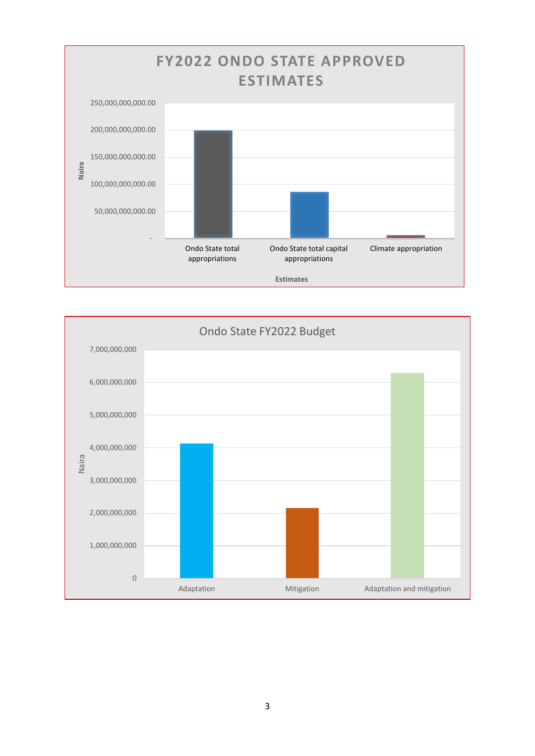

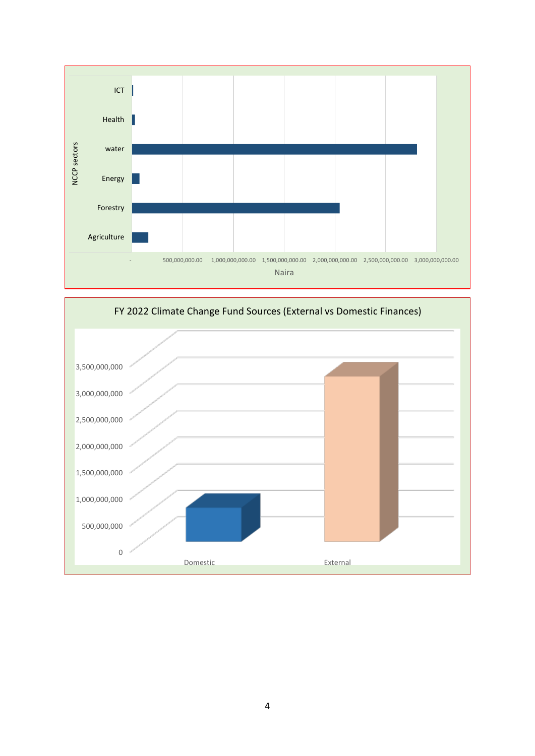